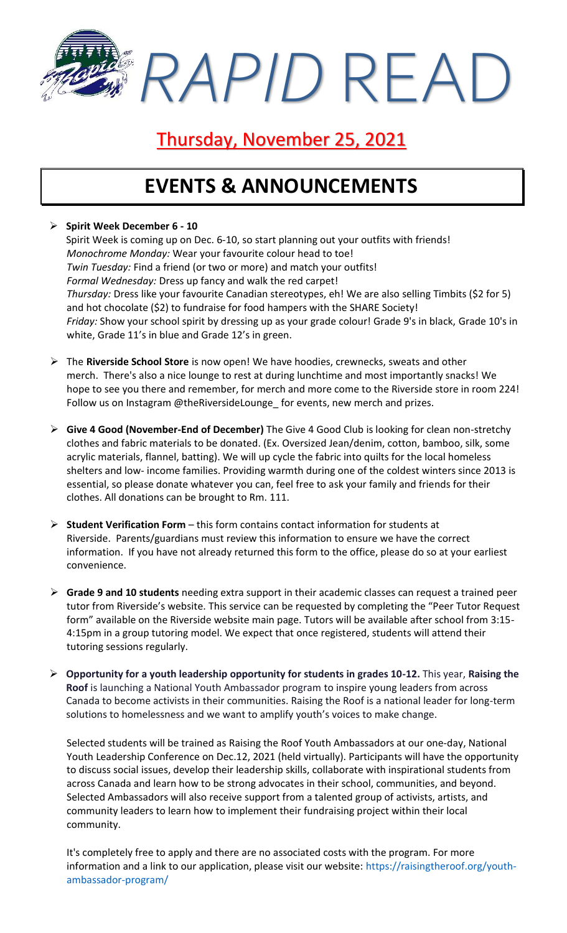*RAPID* READ

### Thursday, November 25, 2021

### **EVENTS & ANNOUNCEMENTS**

#### ➢ **Spirit Week December 6 - 10**

Spirit Week is coming up on Dec. 6-10, so start planning out your outfits with friends! *Monochrome Monday:* Wear your favourite colour head to toe! *Twin Tuesday:* Find a friend (or two or more) and match your outfits! *Formal Wednesday:* Dress up fancy and walk the red carpet! *Thursday:* Dress like your favourite Canadian stereotypes, eh! We are also selling Timbits (\$2 for 5) and hot chocolate (\$2) to fundraise for food hampers with the SHARE Society! *Friday:* Show your school spirit by dressing up as your grade colour! Grade 9's in black, Grade 10's in white, Grade 11's in blue and Grade 12's in green.

- ➢ The **Riverside School Store** is now open! We have hoodies, crewnecks, sweats and other merch. There's also a nice lounge to rest at during lunchtime and most importantly snacks! We hope to see you there and remember, for merch and more come to the Riverside store in room 224! Follow us on Instagram @theRiversideLounge\_ for events, new merch and prizes.
- ➢ **Give 4 Good (November-End of December)** The Give 4 Good Club is looking for clean non-stretchy clothes and fabric materials to be donated. (Ex. Oversized Jean/denim, cotton, bamboo, silk, some acrylic materials, flannel, batting). We will up cycle the fabric into quilts for the local homeless shelters and low- income families. Providing warmth during one of the coldest winters since 2013 is essential, so please donate whatever you can, feel free to ask your family and friends for their clothes. All donations can be brought to Rm. 111.
- ➢ **Student Verification Form** this form contains contact information for students at Riverside. Parents/guardians must review this information to ensure we have the correct information. If you have not already returned this form to the office, please do so at your earliest convenience.
- ➢ **Grade 9 and 10 students** needing extra support in their academic classes can request a trained peer tutor from Riverside's website. This service can be requested by completing the "Peer Tutor Request form" available on the Riverside website main page. Tutors will be available after school from 3:15- 4:15pm in a group tutoring model. We expect that once registered, students will attend their tutoring sessions regularly.
- ➢ **Opportunity for a youth leadership opportunity for students in grades 10-12.** This year, **Raising the Roof** is launching a National Youth Ambassador program to inspire young leaders from across Canada to become activists in their communities. Raising the Roof is a national leader for long-term solutions to homelessness and we want to amplify youth's voices to make change.

Selected students will be trained as Raising the Roof Youth Ambassadors at our one-day, National Youth Leadership Conference on Dec.12, 2021 (held virtually). Participants will have the opportunity to discuss social issues, develop their leadership skills, collaborate with inspirational students from across Canada and learn how to be strong advocates in their school, communities, and beyond. Selected Ambassadors will also receive support from a talented group of activists, artists, and community leaders to learn how to implement their fundraising project within their local community.

It's completely free to apply and there are no associated costs with the program. For more information and a link to our application, please visit our website: [https://raisingtheroof.org/youth](https://raisingtheroof.org/youth-ambassador-program/)[ambassador-program/](https://raisingtheroof.org/youth-ambassador-program/)